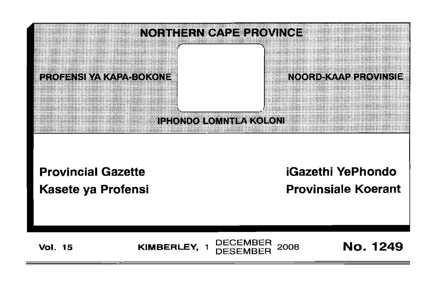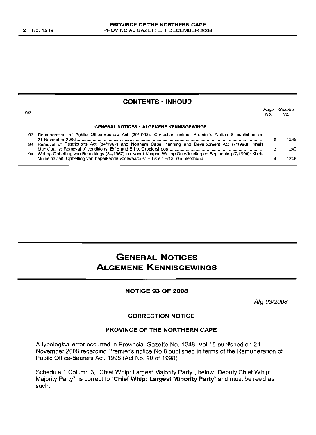|     | <b>CONTENTS · INHOUD</b>                                                                                       |             |                |
|-----|----------------------------------------------------------------------------------------------------------------|-------------|----------------|
| No. |                                                                                                                | Page<br>No. | Gazette<br>No. |
|     | <b>GENERAL NOTICES • ALGEMENE KENNISGEWINGS</b>                                                                |             |                |
|     | 93 Remuneration of Public Office-Bearers Act (20/1998): Correction notice: Premier's Notice 8 published on     |             | 1249           |
|     | 94 Removal of Restrictions Act (84/1967) and Northern Cape Planning and Development Act (7/1998): Kheis        |             | 1249           |
|     | 94 Wet op Opheffing van Beperkings (84/1967) en Noord-Kaapse Wet op Ontwikkeling en Beplanning (7/1998): Kheis |             | 1249           |

# **GENERAL NOTICES ALGEMENE KENNISGEWINGS**

# **NOTICE 93 OF 2008**

*Aig 9312008*

## **CORRECTION NOTICE**

# **PROVINCE OF THE NORTHERN CAPE**

A typological error occurred in Provincial Gazette No. 1248, Vol 15 published on 21 November 2008 regarding Premier's notice No 8 published in terms of the Remuneration of Public Office-Bearers Act, 1998 (Act No. 20 of 1998).

Schedule 1 Column 3, "Chief Whip: Largest Majority Party", below "Deputy Chief Whip: Majority Party", is correct to **"Chief Whip: Largest Minority Party"** and must be read as such.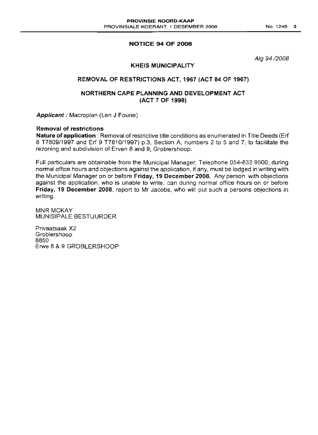# **NOTICE 94 OF 2008**

Alg 94/2008

## **KHEIS MUNICIPALITY**

# **REMOVAL OF RESTRICTIONS ACT, 1967 (ACT 84 OF 1967)**

# **NORTHERN CAPE PLANNING AND DEVELOPMENT ACT (ACT 7 OF 1998)**

**Applicant:** Macroplan (Len J Fourie)

#### **Removal of restrictions**

**Nature of application:** Removal of restrictive title conditions as enumerated in Title Deeds (Erf 8 T7809/1997 and Erf 9 T7810/1997) p.3, Section A, numbers 2 to 5 and 7, to facilitate the rezoning and subdivision of Erven 8 and 9, Grobiershoop.

Full particulars are obtainable from the Municipal Manager, Telephone 054-833 9500, during normal office hours and objections against the application, if any, must be lodged in writing with the Municipal Manager on or before **Friday, 19 December 2008.** Any person with objections against the application, who is unable to write, can during normal office hours on or before **Friday, 19 December 2008,** report to Mr Jacobs, who will put such a persons objections in writing.

**MNR MCKAY** MUNISIPALE BESTUURDER

Privaatsaak X2 Groblershoop 8850 Erwe 8 & 9 GROBLERSHOOP